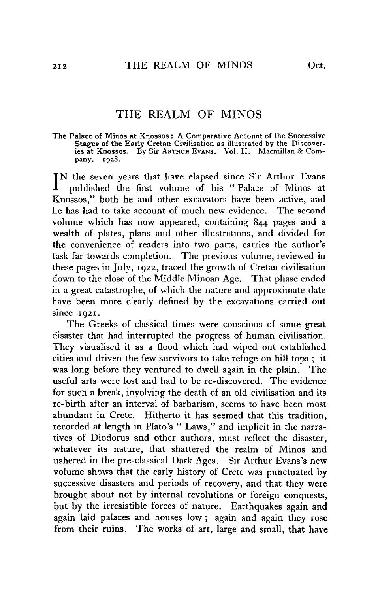## THE REALM OF MINOS

**The Palace of Minos at Knossos : A Comparative Account of the Successive Stages of the Early Cretan Civilisation as illustrated by the Discoveries at Knossos. By Sir A rthur E v a n s. Vol. II. Macmillan & Company. 1928.**

IN the seven years that have elapsed since Sir Arthur Evans<br>published the first volume of his "Palace of Minos at published the first volume of his " Palace of Minos at Knossos," both he and other excavators have been active, and he has had to take account of much new evidence. The second volume which has now appeared, containing 844 pages and a wealth of plates, plans and other illustrations, and divided for the convenience of readers into two parts, carries the author's task far towards completion. The previous volume, reviewed in these pages in July, 1922, traced the growth of Cretan civilisation down to the close of the Middle Minoan Age. That phase ended in a great catastrophe, of which the nature and approximate date have been more clearly defined by the excavations carried out since 1021.

The Greeks of classical times were conscious of some great disaster that had interrupted the progress of human civilisation. They visualised it as a flood which had wiped out established cities and driven the few survivors to take refuge on hill tops ; it was long before they ventured to dwell again in the plain. The useful arts were lost and had to be re-discovered. The evidence for such a break, involving the death of an old civilisation and its re-birth after an interval of barbarism, seems to have been most abundant in Crete. Hitherto it has seemed that this tradition, recorded at length in Plato's " Laws," and implicit in the narratives of Diodorus and other authors, must reflect the disaster, whatever its nature, that shattered the realm of Minos and ushered in the pre-classical Dark Ages. Sir Arthur Evans's new volume shows that the early history of Crete was punctuated by successive disasters and periods of recovery, and that they were brought about not by internal revolutions or foreign conquests, but by the irresistible forces of nature. Earthquakes again and again laid palaces and houses low ; again and again they rose from their ruins. The works of art, large and small, that have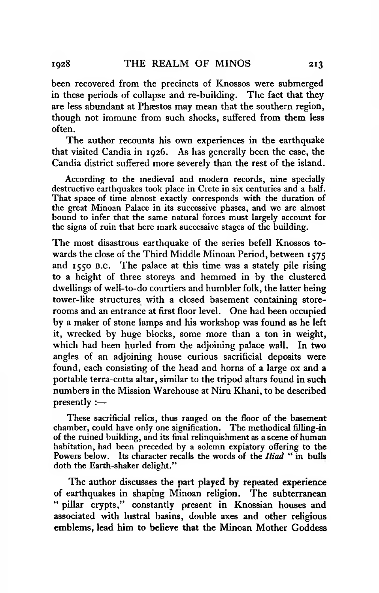been recovered from the precincts of Knossos were submerged in these periods of collapse and re-building. The fact that they are less abundant at Phæstos may mean that the southern region, though not immune from such shocks, suffered from them less often.

The author recounts his own experiences in the earthquake that visited Candia in 1926. As has generally been the case, the Candia district suffered more severely than the rest of the island.

According to the medieval and modern records, nine specially destructive earthquakes took place in Crete in six centuries and a half. That space of time almost exactly corresponds with the duration of the great Minoan Palace in its successive phases, and we are almost bound to infer that the same natural forces must largely account for the signs of ruin that here mark successive stages of the building.

The most disastrous earthquake of the series befell Knossos towards the close of the Third Middle Minoan Period, between 1575 and 1550 B.C. The palace at this time was a stately pile rising to a height of three storeys and hemmed in by the clustered dwellings of well-to-do courtiers and humbler folk, the latter being tower-like structures with a closed basement containing storerooms and an entrance at first floor level. One had been occupied by a maker of stone lamps and his workshop was found as he left it, wrecked by huge blocks, some more than a ton in weight, which had been hurled from the adjoining palace wall. In two angles of an adjoining house curious sacrificial deposits were found, each consisting of the head and horns of a large ox and a portable terra-cotta altar, similar to the tripod altars found in such numbers in the Mission Warehouse at Niru Khani, to be described presently :—

These sacrificial relics, thus ranged on the floor of the basement chamber, could have only one signification. The methodical filling-in of the ruined building, and its final relinquishment as a scene of human habitation, had been preceded by a solemn expiatory offering to the Powers below. Its character recalls the words of the *Iliad* " in bulls doth the Earth-shaker delight."

The author discusses the part played by repeated experience of earthquakes in shaping Minoan religion. The subterranean " pillar crypts," constantly present in Knossian houses and associated with lustral basins, double axes and other religious emblems, lead him to believe that the Minoan Mother Goddess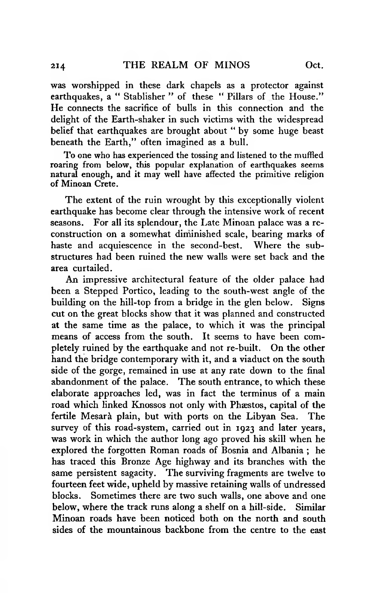was worshipped in these dark chapels as a protector against earthquakes, a " Stablisher " of these " Pillars of the House." He connects the sacrifice of bulls in this connection and the delight of the Earth-shaker in such victims with the widespread belief that earthquakes are brought about " by some huge beast beneath the Earth," often imagined as a bull.

To one who has experienced the tossing and listened to the muffled roaring from below, this popular explanation of earthquakes seems natural enough, and it may well have affected the primitive religion of Minoan Crete.

The extent of the ruin wrought by this exceptionally violent earthquake has become clear through the intensive work of recent seasons. For all its splendour, the Late Minoan palace was a reconstruction on a somewhat diminished scale, bearing marks of haste and acquiescence in the second-best. Where the substructures had been ruined the new walls were set back and the area curtailed.

An impressive architectural feature of the older palace had been a Stepped Portico, leading to the south-west angle of the building on the hill-top from a bridge in the glen below. Signs cut on the great blocks show that it was planned and constructed at the same time as the palace, to which it was the principal means of access from the south. It seems to have been completely ruined by the earthquake and not re-built. On the other hand the bridge contemporary with it, and a viaduct on the south side of the gorge, remained in use at any rate down to the final abandonment of the palace. The south entrance, to which these elaborate approaches led, was in fact the terminus of a main road which linked Knossos not only with Phæstos, capital of the fertile Mesarà plain, but with ports on the Libyan Sea. The survey of this road-system, carried out in 1923 and later years, was work in which the author long ago proved his skill when he explored the forgotten Roman roads of Bosnia and Albania ; he has traced this Bronze Age highway and its branches with the same persistent sagacity. The surviving fragments are twelve to fourteen feet wide, upheld by massive retaining walls of undressed blocks. Sometimes there are two such walls, one above and one below, where the track runs along a shelf on a hill-side. Similar Minoan roads have been noticed both on the north and south sides of the mountainous backbone from the centre to the east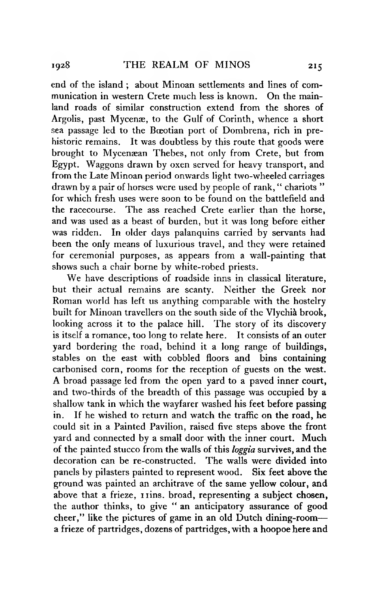end of the island ; about Minoan settlements and lines of communication in western Crete much less is known. On the mainland roads of similar construction extend from the shores of Argolis, past Mycenæ, to the Gulf of Corinth, whence a short sea passage led to the Bœotian port of Dombrena, rich in prehistoric remains. It was doubtless by this route that goods were brought to Mycenaean Thebes, not only from Crete, but from Egypt. Waggons drawn by oxen served for heavy transport, and from the Late Minoan period onwards light two-wheeled carriages drawn by a pair of horses were used by people of rank, " chariots " for which fresh uses were soon to be found on the battlefield and the racecourse. The ass reached Crete earlier than the horse, and was used as a beast of burden, but it was long before either was ridden. In older days palanquins carried by servants had been the only means of luxurious travel, and they were retained for ceremonial purposes, as appears from a wall-painting that shows such a chair borne by white-robed priests.

We have descriptions of roadside inns in classical literature, but their actual remains are scanty. Neither the Greek nor Roman world has left us anything comparable with the hostelry built for Minoan travellers on the south side of the Vlychià brook, looking across it to the palace hill. The story of its discovery is itself a romance, too long to relate here. It consists of an outer yard bordering the road, behind it a long range of buildings, stables on the east with cobbled floors and bins containing carbonised corn, rooms for the reception of guests on the west. A broad passage led from the open yard to a paved inner court, and two-thirds of the breadth of this passage was occupied by a shallow tank in which the wayfarer washed his feet before passing in. If he wished to return and watch the traffic on the road, he could sit in a Painted Pavilion, raised five steps above the front yard and connected by a small door with the inner court. Much of the painted stucco from the walls of this *loggia* survives, and the decoration can be re-constructed. The walls were divided into panels by pilasters painted to represent wood. Six feet above the ground was painted an architrave of the same yellow colour, and above that a frieze, 11ins. broad, representing a subject chosen, the author thinks, to give " an anticipatory assurance of good cheer," like the pictures of game in an old Dutch dining-room— a frieze of partridges, dozens of partridges, with a hoopoe here and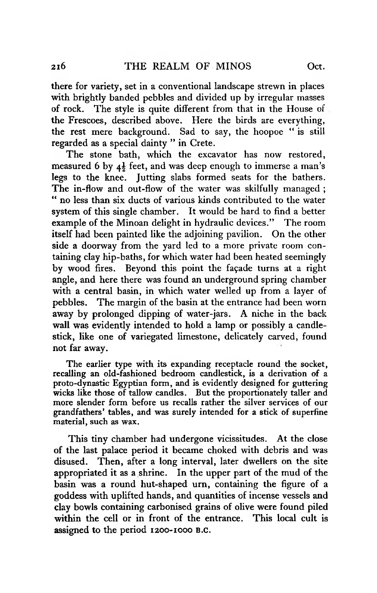there for variety, set in a conventional landscape strewn in places with brightly banded pebbles and divided up by irregular masses of rock. The style is quite different from that in the House of the Frescoes, described above. Here the birds are everything, the rest mere background. Sad to say, the hoopoe " is still regarded as a special dainty " in Crete.

The stone bath, which the excavator has now restored, measured 6 by  $4\frac{1}{2}$  feet, and was deep enough to immerse a man's legs to the knee. Jutting slabs formed seats for the bathers. The in-flow and out-flow of the water was skilfully managed ; " no less than six ducts of various kinds contributed to the water system of this single chamber. It would be hard to find a better example of the Minoan delight in hydraulic devices." The room itself had been painted like the adjoining pavilion. On the other side a doorway from the yard led to a more private room containing clay hip-baths, for which water had been heated seemingly by wood fires. Beyond this point the façade turns at a right angle, and here there was found an underground spring chamber with a central basin, in which water welled up from a layer of pebbles. The margin of the basin at the entrance had been worn away by prolonged dipping of water-jars. A niche in the back wall was evidently intended to hold a lamp or possibly a candlestick, like one of variegated limestone, delicately carved, found not far away.

The earlier type with its expanding receptacle round the socket, recalling an old-fashioned bedroom candlestick, is a derivation of a proto-dynastic Egyptian form, and is evidently designed for guttering wicks like those of tallow candles. But the proportionately taller and more slender form before us recalls rather the silver services of our grandfathers' tables, and was surely intended for a stick of superfine material, such as wax.

This tiny chamber had undergone vicissitudes. At the close of the last palace period it became choked with debris and was disused. Then, after a long interval, later dwellers on the site appropriated it as a shrine. In the upper part of the mud of the basin was a round hut-shaped urn, containing the figure of a goddess with uplifted hands, and quantities of incense vessels and clay bowls containing carbonised grains of olive were found piled within the cell or in front of the entrance. This local cult is assigned to the period 1200-1000 **b**.**c**.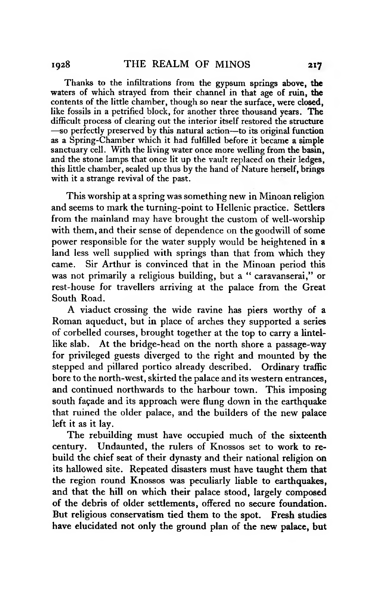Thanks to the infiltrations from the gypsum springs above, the waters of which strayed from their channel in that age of ruin, the contents of the little chamber, though so near the surface, were closed, like fossils in a petrified block, for another three thousand years. The difficult process of clearing out the interior itself restored the structure —so perfectly preserved by this natural action—to its original function as a Spring-Chamber which it had fulfilled before it became a simple sanctuary cell. With the living water once more welling from the basin, and the stone lamps that once lit up the vault replaced on their ledges, this little chamber, sealed up thus by the hand of Nature herself, brings with it a strange revival of the past.

This worship at a spring was something new in Minoan religion and seems to mark the turning-point to Hellenic practice. Settlers from the mainland may have brought the custom of well-worship with them, and their sense of dependence on the goodwill of some power responsible for the water supply would be heightened in a land less well supplied with springs than that from which they came. Sir Arthur is convinced that in the Minoan period this was not primarily a religious building, but a " caravanserai," or rest-house for travellers arriving at the palace from the Great South Road.

A viaduct crossing the wide ravine has piers worthy of a Roman aqueduct, but in place of arches they supported a series of corbelled courses, brought together at the top to carry a lintellike slab. At the bridge-head on the north shore a passage-way for privileged guests diverged to the right and mounted by the stepped and pillared portico already described. Ordinary traffic bore to the north-west, skirted the palace and its western entrances, and continued northwards to the harbour town. This imposing south façade and its approach were flung down in the earthquake that ruined the older palace, and the builders of the new palace left it as it lay.

The rebuilding must have occupied much of the sixteenth century. Undaunted, the rulers of Knossos set to work to rebuild the chief seat of their dynasty and their national religion on its hallowed site. Repeated disasters must have taught them that the region round Knossos was peculiarly liable to earthquakes, and that the hill on which their palace stood, largely composed of the debris of older settlements, offered no secure foundation. But religious conservatism tied them to the spot. Fresh studies have elucidated not only the ground plan of the new palace, but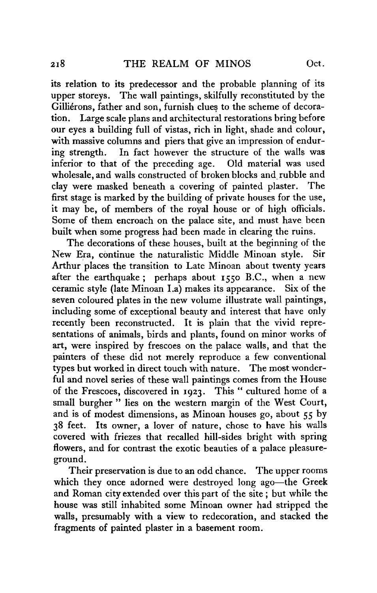its relation to its predecessor and the probable planning of its upper storeys. The wall paintings, skilfully reconstituted by the Gilliérons, father and son, furnish clues to the scheme of decoration. Large scale plans and architectural restorations bring before our eyes a building full of vistas, rich in light, shade and colour, with massive columns and piers that give an impression of enduring strength. In fact however the structure of the walls was inferior to that of the preceding age. Old material was used inferior to that of the preceding age. wholesale, and walls constructed of broken blocks and rubble and clay were masked beneath a covering of painted plaster. first stage is marked by the building of private houses for the use, it may be, of members of the royal house or of high officials. Some of them encroach on the palace site, and must have been built when some progress had been made in clearing the ruins.

The decorations of these houses, built at the beginning of the New Era, continue the naturalistic Middle Minoan style. Sir Arthur places the transition to Late Minoan about twenty years after the earthquake ; perhaps about 1550 B.C., when a new ceramic style (late Minoan La) makes its appearance. Six of the seven coloured plates in the new volume illustrate wall paintings, including some of exceptional beauty and interest that have only recently been reconstructed. It is plain that the vivid representations of animals, birds and plants, found on minor works of art, were inspired by frescoes on the palace walls, and that the painters of these did not merely reproduce a few conventional types but worked in direct touch with nature. The most wonderful and novel series of these wall paintings comes from the House of the Frescoes, discovered in 1923. This " cultured home of a small burgher " lies on the western margin of the West Court, and is of modest dimensions, as Minoan houses go, about 55 by 38 feet. Its owner, a lover of nature, chose to have his walls covered with friezes that recalled hill-sides bright with spring flowers, and for contrast the exotic beauties of a palace pleasureground.

Their preservation is due to an odd chance. The upper rooms which they once adorned were destroyed long ago—the Greek and Roman city extended over this part of the site ; but while the house was still inhabited some Minoan owner had stripped the walls, presumably with a view to redecoration, and stacked the fragments of painted plaster in a basement room.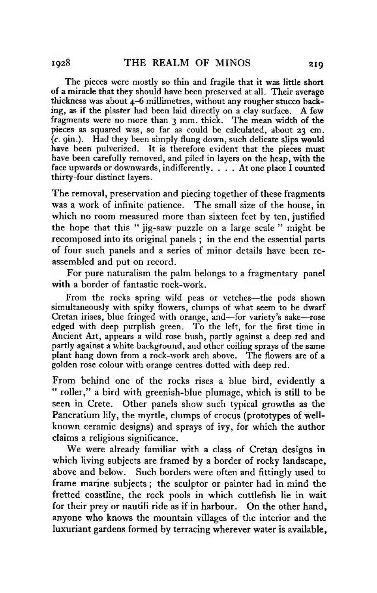The pieces were mostly so thin and fragile that it was little short of a miracle that they should have been preserved at all. Their average thickness was about 4-6 millimetres, without any rougher stucco backing, as if the plaster had been laid directly on a clay surface. A few fragments were no more than 3 mm. thick. The mean width of the pieces as squared was, so far as could be calculated, about 23 cm. (*c*. 9m.). Had they been simply flung down, such delicate slips would have been pulverized. It is therefore evident that the pieces must have been carefully removed, and piled in layers on the heap, with the face upwards or downwards, indifferently. . . . At one place I counted thirty-four distinct layers.

The removal, preservation and piecing together of these fragments was a work of infinite patience. The small size of the house, in which no room measured more than sixteen feet by ten, justified the hope that this " jig-saw puzzle on a large scale " might be recomposed into its original panels ; in the end the essential parts of four such panels and a series of minor details have been reassembled and put on record.

For pure naturalism the palm belongs to a fragmentary panel with a border of fantastic rock-work.

From the rocks spring wild peas or vetches—the pods shown simultaneously with spiky flowers, clumps of what seem to be dwarf Cretan irises, blue fringed with orange, and—for variety's sake—rose edged with deep purplish green. To the left, for the first time in Ancient Art, appears a wild rose bush, partly against a deep red and partly against a white background, and other coiling sprays of the same plant hang down from a rock-work arch above. The flowers are of a golden rose colour with orange centres dotted with deep red.

From behind one of the rocks rises a blue bird, evidently a " roller," a bird with greenish-blue plumage, which is still to be seen in Crete. Other panels show such typical growths as the Pancratium lily, the myrtle, clumps of crocus (prototypes of wellknown ceramic designs) and sprays of ivy, for which the author claims a religious significance.

We were already familiar with a class of Cretan designs in which living subjects are framed by a border of rocky landscape, above and below. Such borders were often and fittingly used to frame marine subjects ; the sculptor or painter had in mind the fretted coastline, the rock pools in which cuttlefish lie in wait for their prey or nautili ride as if in harbour. On the other hand, anyone who knows the mountain villages of the interior and the luxuriant gardens formed by terracing wherever water is available,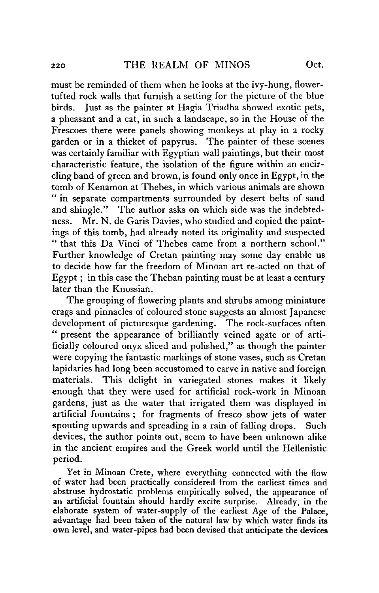must be reminded of them when he looks at the ivy-hung, flowertufted rock walls that furnish a setting for the picture of the blue birds. Just as the painter at Hagia Triadha showed exotic pets, a pheasant and a cat, in such a landscape, so in the House of the Frescoes there were panels showing monkeys at play in a rocky garden or in a thicket of papyrus. The painter of these scenes was certainly familiar with Egyptian wall paintings, but their most characteristic feature, the isolation of the figure within an encircling band of green and brown, is found only once in Egypt, in the tomb of Kenamon at Thebes, in which various animals are shown " in separate compartments surrounded by desert belts of sand and shingle." The author asks on which side was the indebtedness. Mr. N. de Garis Davies, who studied and copied the paintings of this tomb, had already noted its originality and suspected " that this Da Vinci of Thebes came from a northern school." Further knowledge of Cretan painting may some day enable us to decide how far the freedom of Minoan art re-acted on that of Egypt ; in this case the Theban painting must be at least a century later than the Knossian.

The grouping of flowering plants and shrubs among miniature crags and pinnacles of coloured stone suggests an almost Japanese development of picturesque gardening. The rock-surfaces often *"* present the appearance of brilliantly veined agate or of artificially coloured onyx sliced and polished," as though the painter were copying the fantastic markings of stone vases, such as Cretan lapidaries had long been accustomed to carve in native and foreign materials. This delight in variegated stones makes it likely enough that they were used for artificial rock-work in Minoan gardens, just as the water that irrigated them was displayed in artificial fountains ; for fragments of fresco show jets of water spouting upwards and spreading in a rain of falling drops. Such devices, the author points out, seem to have been unknown alike in the ancient empires and the Greek world until the Hellenistic period.

Yet in Minoan Crete, where everything connected with the flow of water had been practically considered from the earliest times and abstruse hydrostatic problems empirically solved, the appearance of an artificial fountain should hardly excite surprise. Already, in the elaborate system of water-supply of the earliest Age of the Palace, advantage had been taken of the natural law by which water finds its own level, and water-pipes had been devised that anticipate the devices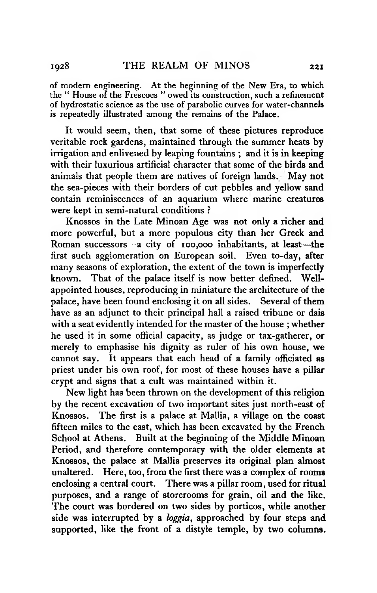of modern engineering. At the beginning of the New Era, to which the " House of the Frescoes " owed its construction, such a refinement of hydrostatic science as the use of parabolic curves for water-channels is repeatedly illustrated among the remains of the Palace.

It would seem, then, that some of these pictures reproduce veritable rock gardens, maintained through the summer heats by irrigation and enlivened by leaping fountains ; and it is in keeping with their luxurious artificial character that some of the birds and animals that people them are natives of foreign lands. May not the sea-pieces with their borders of cut pebbles and yellow sand contain reminiscences of an aquarium where marine creatures were kept in semi-natural conditions ?

Knossos in the Late Minoan Age was not only a richer and more powerful, but a more populous city than her Greek and Roman successors—a city of 100,000 inhabitants, at least—the first such agglomeration on European soil. Even to-day, after many seasons of exploration, the extent of the town is imperfectly known. That of the palace itself is now better defined. Wellappointed houses, reproducing in miniature the architecture of the palace, have been found enclosing it on all sides. Several of them have as an adjunct to their principal hall a raised tribune or dais with a seat evidently intended for the master of the house ; whether he used it in some official capacity, as judge or tax-gatherer, or merely to emphasise his dignity as ruler of his own house, we cannot say. It appears that each head of a family officiated as priest under his own roof, for most of these houses have a pillar crypt and signs that a cult was maintained within it.

New light has been thrown on the development of this religion by the recent excavation of two important sites just north-east of Knossos. The first is a palace at Mallia, a village on the coast fifteen miles to the east, which has been excavated by the French School at Athens. Built at the beginning of the Middle Minoan Period, and therefore contemporary with the older elements at Knossos, the palace at Mallia preserves its original plan almost unaltered. Here, too, from the first there was a complex of rooms enclosing a central court. There was a pillar room, used for ritual purposes, and a range of storerooms for grain, oil and the like. The court was bordered on two sides by porticos, while another side was interrupted by a *loggia*, approached by four steps and supported, like the front of a distyle temple, by two columns.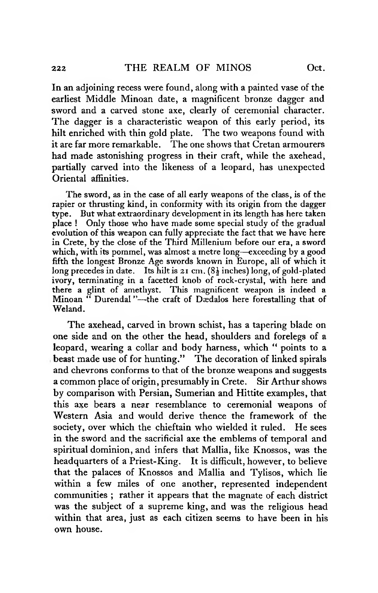In an adjoining recess were found, along with a painted vase of the earliest Middle Minoan date, a magnificent bronze dagger and sword and a carved stone axe, clearly of ceremonial character. The dagger is a characteristic weapon of this early period, its hilt enriched with thin gold plate. The two weapons found with it are far more remarkable. The one shows that Cretan armourers had made astonishing progress in their craft, while the axehead, partially carved into the likeness of a leopard, has unexpected Oriental affinities.

The sword, as in the case of all early weapons of the class, is of the rapier or thrusting kind, in conformity with its origin from the dagger type. But what extraordinary development in its length has here taken place ! Only those who have made some special study of the gradual evolution of this weapon can fully appreciate the fact that we have here in Crete, by the close of the Third Millenium before our era, a sword which, with its pommel, was almost a metre long—exceeding by a good fifth the longest Bronze Age swords known in Europe, all of which it long precedes in date. Its hilt is  $2I \text{ cm}$ . (8 $\frac{1}{2}$  inches) long, of gold-plated ivory, terminating in a facetted knob of rock-crystal, with here and there a glint of amethyst. This magnificent weapon is indeed a Minoan " Durendal "—the craft of Dædalos here forestalling that of Weland.

The axehead, carved in brown schist, has a tapering blade on one side and on the other the head, shoulders and forelegs of a leopard, wearing a collar and body harness, which " points to a beast made use of for hunting." The decoration of linked spirals and chevrons conforms to that of the bronze weapons and suggests a common place of origin, presumably in Crete. Sir Arthur shows by comparison with Persian, Sumerian and Hittite examples, that this axe bears a near resemblance to ceremonial weapons of Western Asia and would derive thence the framework of the society, over which the chieftain who wielded it ruled. He sees in the sword and the sacrificial axe the emblems of temporal and spiritual dominion, and infers that Mallia, like Knossos, was the headquarters of a Priest-King. It is difficult, however, to believe that the palaces of Knossos and Mallia and Tylisos, which lie within a few miles of one another, represented independent communities ; rather it appears that the magnate of each district was the subject of a supreme king, and was the religious head within that area, just as each citizen seems to have been in his own house.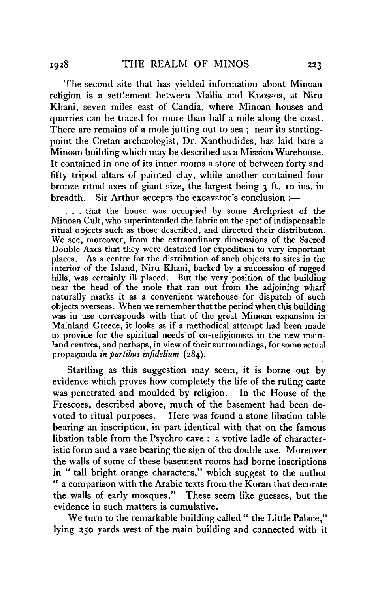The second site that has yielded information about Minoan religion is a settlement between Mallia and Knossos, at Niru Khani, seven miles east of Candia, where Minoan houses and quarries can be traced for more than half a mile along the coast. There are remains of a mole jutting out to sea ; near its startingpoint the Cretan archaeologist, Dr. Xanthudides, has laid bare a Minoan building which may be described as a Mission Warehouse. It contained in one of its inner rooms a store of between forty and fifty tripod altars of painted clay, while another contained four bronze ritual axes of giant size, the largest being 3 ft. 10 ins. in breadth. Sir Arthur accepts the excavator's conclusion :—

. . . that the house was occupied by some Archpriest of the Minoan Cult, who superintended the fabric on the spot of indispensable ritual objects such as those described, and directed their distribution. We see, moreover, from the extraordinary dimensions of the Sacred Double Axes that they were destined for expedition to very important places. As a centre for the distribution of such objects to sites in the interior of the Island, Niru Khani, backed by a succession of rugged hills, was certainly ill placed. But the very position of the building near the head of the mole that ran out from the adjoining wharf naturally marks it as a convenient warehouse for dispatch of such objects overseas. When we remember that the period when this building was in use corresponds with that of the great Minoan expansion in Mainland Greece, it looks as if a methodical attempt had been made to provide for the spiritual needs of co-religionists in the new mainland centres, and perhaps, in view of their surroundings, for some actual propaganda *in partibus infidelium* (284).

Startling as this suggestion may seem, it is borne out by evidence which proves how completely the life of the ruling caste was penetrated and moulded by religion. In the House of the Frescoes, described above, much of the basement had been devoted to ritual purposes. Here was found a stone libation table bearing an inscription, in part identical with that on the famous libation table from the Psychro cave : a votive ladle of characteristic form and a vase bearing the sign of the double axe. Moreover the walls of some of these basement rooms had borne inscriptions in " tall bright orange characters," which suggest to the author " a comparison with the Arabic texts from the Koran that decorate the walls of early mosques." These seem like guesses, but the evidence in such matters is cumulative.

We turn to the remarkable building called " the Little Palace," lying 250 yards west of the main building and connected with it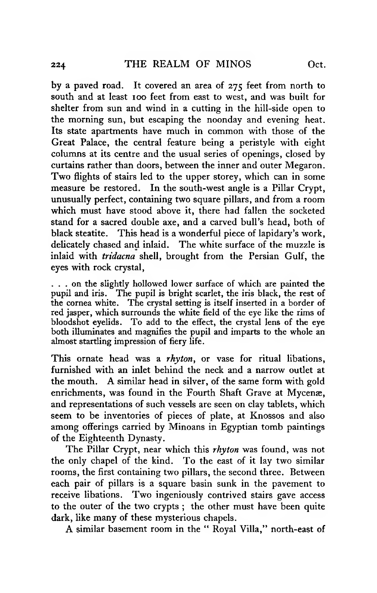by a paved road. It covered an area of 275 feet from north to south and at least 100 feet from east to west, and was built for shelter from sun and wind in a cutting in the hill-side open to the morning sun, but escaping the noonday and evening heat. Its state apartments have much in common with those of the Great Palace, the central feature being a peristyle with eight columns at its centre and the usual series of openings, closed by curtains rather than doors, between the inner and outer Megaron. Two flights of stairs led to the upper storey, which can in some measure be restored. In the south-west angle is a Pillar Crypt, unusually perfect, containing two square pillars, and from a room which must have stood above it, there had fallen the socketed stand for a sacred double axe, and a carved bull's head, both of black steatite. This head is a wonderful piece of lapidary's work, delicately chased and inlaid. The white surface of the muzzle is inlaid with *tridacna* shell, brought from the Persian Gulf, the eyes with rock crystal,

... on the slightly hollowed lower surface of which are painted the pupil and iris. The pupil is bright scarlet, the iris black, the rest of the cornea white. The crystal setting is itself inserted in a border of red jasper, which surrounds the white field of the eye like the rims of bloodshot eyelids. To add to the effect, the crystal lens of the eye both illuminates and magnifies the pupil and imparts to the whole an almost startling impression of fiery life.

This ornate head was a *rhyton,* or vase for ritual libations, furnished with an inlet behind the neck and a narrow outlet at the mouth. A similar head in silver, of the same form with gold enrichments, was found in the Fourth Shaft Grave at Mycenæ, and representations of such vessels are seen on clay tablets, which seem to be inventories of pieces of plate, at Knossos and also among offerings carried by Minoans in Egyptian tomb paintings of the Eighteenth Dynasty.

The Pillar Crypt, near which this *rhyton* was found, was not the only chapel of the kind. To the east of it lay two similar rooms, the first containing two pillars, the second three. Between each pair of pillars is a square basin sunk in the pavement to receive libations. Two ingeniously contrived stairs gave access to the outer of the two crypts ; the other must have been quite dark, like many of these mysterious chapels.

A similar basement room in the " Royal Villa," north-east of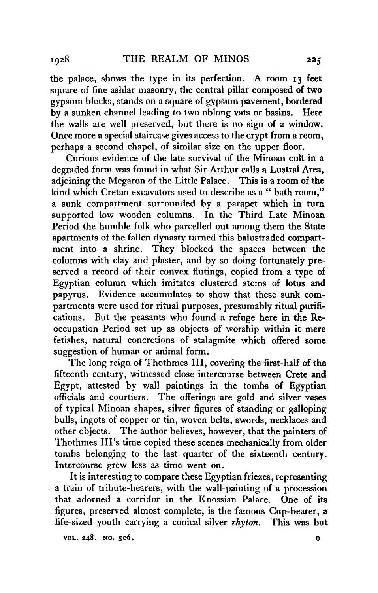the palace, shows the type in its perfection. A room 13 feet square of fine ashlar masonry, the central pillar composed of two gypsum blocks, stands on a square of gypsum pavement, bordered by a sunken channel leading to two oblong vats or basins. Here the walls are well preserved, but there is no sign of a window. Once more a special staircase gives access to the crypt from a room, perhaps a second chapel, of similar size on the upper floor.

Curious evidence of the late survival of the Minoan cult in a degraded form was found in what Sir Arthur calls a Lustral Area, adjoining the Megaron of the Little Palace. This is a room of the kind which Cretan excavators used to describe as a " bath room," a sunk compartment surrounded by a parapet which in turn supported low wooden columns. In the Third Late Minoan Period the humble folk who parcelled out among them the State apartments of the fallen dynasty turned this balustraded compartment into a shrine. They blocked the spaces between the columns with clay and plaster, and by so doing fortunately preserved a record of their convex flutings, copied from a type of Egyptian column which imitates clustered stems of lotus and papyrus. Evidence accumulates to show that these sunk compartments were used for ritual purposes, presumably ritual purifications. But the peasants who found a refuge here in the Reoccupation Period set up as objects of worship within it mere fetishes, natural concretions of stalagmite which offered some suggestion of human or animal form.

The long reign of Thothmes III, covering the first-half of the fifteenth century, witnessed close intercourse between Crete and Egypt, attested by wall paintings in the tombs of Egyptian officials and courtiers. The offerings are gold and silver vases of typical Minoan shapes, silver figures of standing or galloping bulls, ingots of copper or tin, woven belts, swords, necklaces and other objects. The author believes, however, that the painters of Thothmes III's time copied these scenes mechanically from older tombs belonging to the last quarter of the sixteenth century. Intercourse grew less as time went on.

It is interesting to compare these Egyptian friezes, representing a train of tribute-bearers, with the wall-painting of a procession that adorned a corridor in the Knossian Palace. One of its figures, preserved almost complete, is the famous Cup-bearer, a life-sized youth carrying a conical silver *rhyton.* This was but

**voi.. 248. no. 506. o**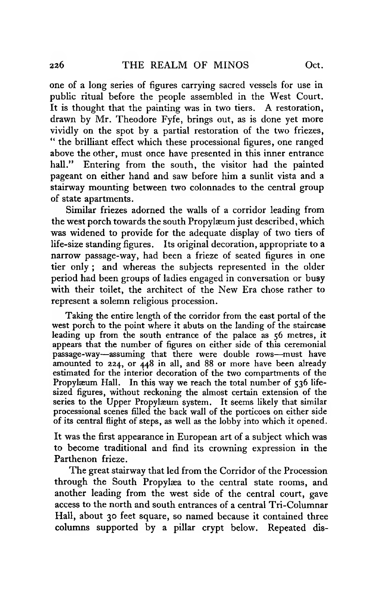one of a long series of figures carrying sacred vessels for use in public ritual before the people assembled in the West Court. It is thought that the painting was in two tiers. A restoration, drawn by Mr. Theodore Fyfe, brings out, as is done yet more vividly on the spot by a partial restoration of the two friezes, " the brilliant effect which these processional figures, one ranged above the other, must once have presented in this inner entrance hall." Entering from the south, the visitor had the painted pageant on either hand and saw before him a sunlit vista and a stairway mounting between two colonnades to the central group of state apartments.

Similar friezes adorned the walls of a corridor leading from the west porch towards the south Propylæum just described, which was widened to provide for the adequate display of two tiers of life-size standing figures. Its original decoration, appropriate to a narrow passage-way, had been a frieze of seated figures in one tier only; and whereas the subjects represented in the older period had been groups of ladies engaged in conversation or busy with their toilet, the architect of the New Era chose rather to represent a solemn religious procession.

Taking the entire length of the corridor from the east portal of the west porch to the point where it abuts on the landing of the staircase leading up from the south entrance of the palace as  $56$  metres, it appears that the number of figures on either side of this ceremonial passage-way—assuming that there were double rows—must have amounted to 224, or 448 in all, and 88 or more have been already estimated for the interior decoration of the two compartments of the Propylæum Hall. In this way we reach the total number of 536 lifesized figures, without reckoning the almost certain extension of the series to the Upper Propylæum system. It seems likely that similar processional scenes filled the back wall of the porticoes on either side of its central flight of steps, as well as the lobby into which it opened.

It was the first appearance in European art of a subject which was to become traditional and find its crowning expression in the Parthenon frieze.

The great stairway that led from the Corridor of the Procession through the South Propylæa to the central state rooms, and another leading from the west side of the central court, gave access to the north and south entrances of a central Tri-Columnar Hall, about 30 feet square, so named because it contained three columns supported by a pillar crypt below. Repeated dis-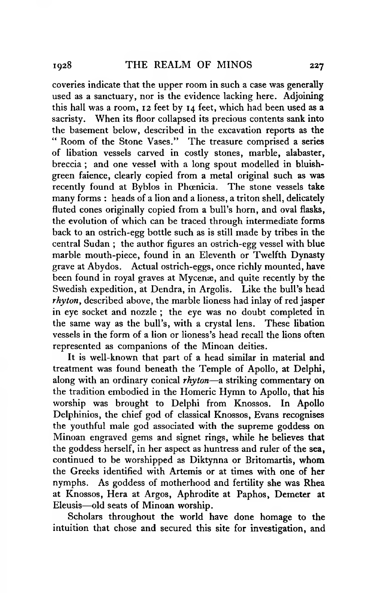coveries indicate that the upper room in such a case was generally used as a sanctuary, nor is the evidence lacking here. Adjoining this hall was a room, 12 feet by 14 feet, which had been used as a sacristy. When its floor collapsed its precious contents sank into the basement below, described in the excavation reports as the " Room of the Stone Vases." The treasure comprised a series of libation vessels carved in costly stones, marble, alabaster, breccia ; and one vessel with a long spout modelled in bluishgreen faience, clearly copied from a metal original Such as was recently found at Byblos in Phoenicia. The stone vessels take many forms : heads of a lion and a lioness, a triton shell, delicately fluted cones originally copied from a bull's horn, and oval flasks, the evolution of which can be traced through intermediate forms back to an ostrich-egg bottle such as is still made by tribes in the central Sudan ; the author figures an ostrich-egg vessel with blue marble mouth-piece, found in an Eleventh or Twelfth Dynasty grave at Abydos. Actual ostrich-eggs, once richly mounted, have been found in royal graves at Mycenæ, and quite recently by the Swedish expedition, at Dendra, in Argolis. Like the bull's head *rhyton*, described above, the marble lioness had inlay of red jasper in eye socket and nozzle ; the eye was no doubt completed in the same way as the bull's, with a crystal lens. These libation vessels in the form of a lion or lioness's head recall the lions often represented as companions of the Minoan deities.

It is well-known that part of a head similar in material and treatment was found beneath the Temple of Apollo, at Delphi, along with an ordinary conical *rhyton*—a striking commentary on the tradition embodied in the Homeric Hymn to Apollo, that his worship was brought to Delphi from Knossos. In Apollo Delphinios, the chief god of classical Knossos, Evans recognises the youthful male god associated with the supreme goddess on Minoan engraved gems and signet rings, while he believes that the goddess herself, in her aspect as huntress and ruler of the sea, continued to be worshipped as Diktynna or Britomartis, whom the Greeks identified with Artemis or at times with one of her nymphs. As goddess of motherhood and fertility she was Rhea at Knossos, Hera at Argos, Aphrodite at Paphos, Demeter at Eleusis—old seats of Minoan worship.

Scholars throughout the world have done homage to the intuition that chose and secured this site for investigation, and